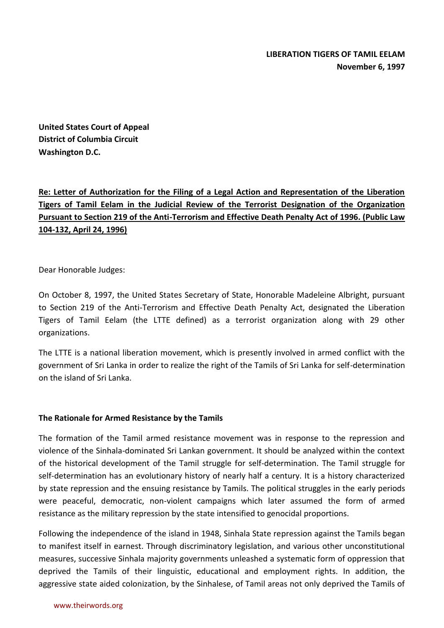**United States Court of Appeal District of Columbia Circuit Washington D.C.**

**Re: Letter of Authorization for the Filing of a Legal Action and Representation of the Liberation Tigers of Tamil Eelam in the Judicial Review of the Terrorist Designation of the Organization Pursuant to Section 219 of the Anti-Terrorism and Effective Death Penalty Act of 1996. (Public Law 104-132, April 24, 1996)**

Dear Honorable Judges:

On October 8, 1997, the United States Secretary of State, Honorable Madeleine Albright, pursuant to Section 219 of the Anti-Terrorism and Effective Death Penalty Act, designated the Liberation Tigers of Tamil Eelam (the LTTE defined) as a terrorist organization along with 29 other organizations.

The LTTE is a national liberation movement, which is presently involved in armed conflict with the government of Sri Lanka in order to realize the right of the Tamils of Sri Lanka for self-determination on the island of Sri Lanka.

## **The Rationale for Armed Resistance by the Tamils**

The formation of the Tamil armed resistance movement was in response to the repression and violence of the Sinhala-dominated Sri Lankan government. It should be analyzed within the context of the historical development of the Tamil struggle for self-determination. The Tamil struggle for self-determination has an evolutionary history of nearly half a century. It is a history characterized by state repression and the ensuing resistance by Tamils. The political struggles in the early periods were peaceful, democratic, non-violent campaigns which later assumed the form of armed resistance as the military repression by the state intensified to genocidal proportions.

Following the independence of the island in 1948, Sinhala State repression against the Tamils began to manifest itself in earnest. Through discriminatory legislation, and various other unconstitutional measures, successive Sinhala majority governments unleashed a systematic form of oppression that deprived the Tamils of their linguistic, educational and employment rights. In addition, the aggressive state aided colonization, by the Sinhalese, of Tamil areas not only deprived the Tamils of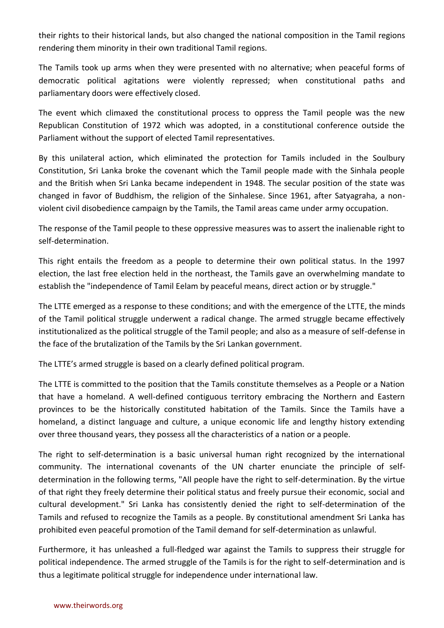their rights to their historical lands, but also changed the national composition in the Tamil regions rendering them minority in their own traditional Tamil regions.

The Tamils took up arms when they were presented with no alternative; when peaceful forms of democratic political agitations were violently repressed; when constitutional paths and parliamentary doors were effectively closed.

The event which climaxed the constitutional process to oppress the Tamil people was the new Republican Constitution of 1972 which was adopted, in a constitutional conference outside the Parliament without the support of elected Tamil representatives.

By this unilateral action, which eliminated the protection for Tamils included in the Soulbury Constitution, Sri Lanka broke the covenant which the Tamil people made with the Sinhala people and the British when Sri Lanka became independent in 1948. The secular position of the state was changed in favor of Buddhism, the religion of the Sinhalese. Since 1961, after Satyagraha, a nonviolent civil disobedience campaign by the Tamils, the Tamil areas came under army occupation.

The response of the Tamil people to these oppressive measures was to assert the inalienable right to self-determination.

This right entails the freedom as a people to determine their own political status. In the 1997 election, the last free election held in the northeast, the Tamils gave an overwhelming mandate to establish the "independence of Tamil Eelam by peaceful means, direct action or by struggle."

The LTTE emerged as a response to these conditions; and with the emergence of the LTTE, the minds of the Tamil political struggle underwent a radical change. The armed struggle became effectively institutionalized as the political struggle of the Tamil people; and also as a measure of self-defense in the face of the brutalization of the Tamils by the Sri Lankan government.

The LTTE's armed struggle is based on a clearly defined political program.

The LTTE is committed to the position that the Tamils constitute themselves as a People or a Nation that have a homeland. A well-defined contiguous territory embracing the Northern and Eastern provinces to be the historically constituted habitation of the Tamils. Since the Tamils have a homeland, a distinct language and culture, a unique economic life and lengthy history extending over three thousand years, they possess all the characteristics of a nation or a people.

The right to self-determination is a basic universal human right recognized by the international community. The international covenants of the UN charter enunciate the principle of selfdetermination in the following terms, "All people have the right to self-determination. By the virtue of that right they freely determine their political status and freely pursue their economic, social and cultural development." Sri Lanka has consistently denied the right to self-determination of the Tamils and refused to recognize the Tamils as a people. By constitutional amendment Sri Lanka has prohibited even peaceful promotion of the Tamil demand for self-determination as unlawful.

Furthermore, it has unleashed a full-fledged war against the Tamils to suppress their struggle for political independence. The armed struggle of the Tamils is for the right to self-determination and is thus a legitimate political struggle for independence under international law.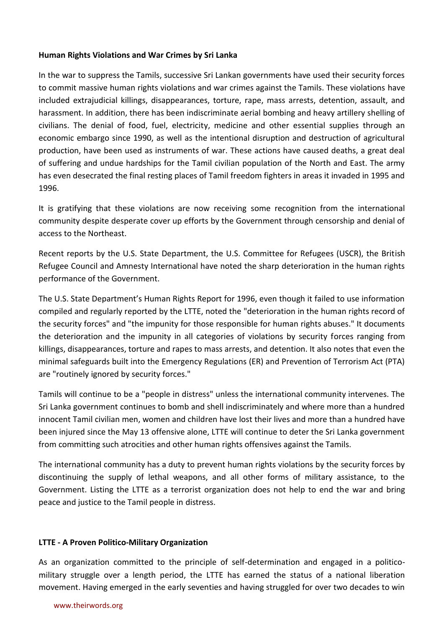## **Human Rights Violations and War Crimes by Sri Lanka**

In the war to suppress the Tamils, successive Sri Lankan governments have used their security forces to commit massive human rights violations and war crimes against the Tamils. These violations have included extrajudicial killings, disappearances, torture, rape, mass arrests, detention, assault, and harassment. In addition, there has been indiscriminate aerial bombing and heavy artillery shelling of civilians. The denial of food, fuel, electricity, medicine and other essential supplies through an economic embargo since 1990, as well as the intentional disruption and destruction of agricultural production, have been used as instruments of war. These actions have caused deaths, a great deal of suffering and undue hardships for the Tamil civilian population of the North and East. The army has even desecrated the final resting places of Tamil freedom fighters in areas it invaded in 1995 and 1996.

It is gratifying that these violations are now receiving some recognition from the international community despite desperate cover up efforts by the Government through censorship and denial of access to the Northeast.

Recent reports by the U.S. State Department, the U.S. Committee for Refugees (USCR), the British Refugee Council and Amnesty International have noted the sharp deterioration in the human rights performance of the Government.

The U.S. State Department's Human Rights Report for 1996, even though it failed to use information compiled and regularly reported by the LTTE, noted the "deterioration in the human rights record of the security forces" and "the impunity for those responsible for human rights abuses." It documents the deterioration and the impunity in all categories of violations by security forces ranging from killings, disappearances, torture and rapes to mass arrests, and detention. It also notes that even the minimal safeguards built into the Emergency Regulations (ER) and Prevention of Terrorism Act (PTA) are "routinely ignored by security forces."

Tamils will continue to be a "people in distress" unless the international community intervenes. The Sri Lanka government continues to bomb and shell indiscriminately and where more than a hundred innocent Tamil civilian men, women and children have lost their lives and more than a hundred have been injured since the May 13 offensive alone, LTTE will continue to deter the Sri Lanka government from committing such atrocities and other human rights offensives against the Tamils.

The international community has a duty to prevent human rights violations by the security forces by discontinuing the supply of lethal weapons, and all other forms of military assistance, to the Government. Listing the LTTE as a terrorist organization does not help to end the war and bring peace and justice to the Tamil people in distress.

## **LTTE - A Proven Politico-Military Organization**

As an organization committed to the principle of self-determination and engaged in a politicomilitary struggle over a length period, the LTTE has earned the status of a national liberation movement. Having emerged in the early seventies and having struggled for over two decades to win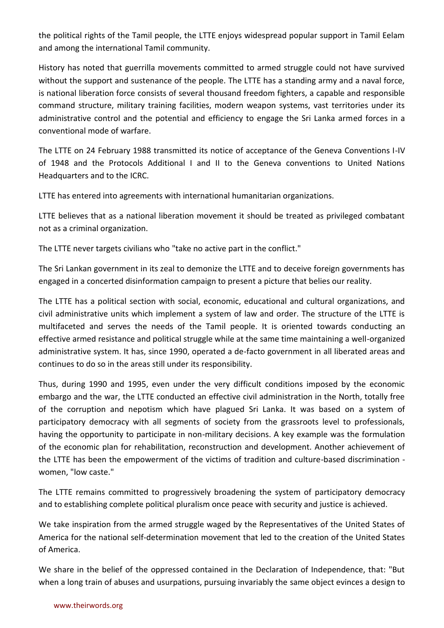the political rights of the Tamil people, the LTTE enjoys widespread popular support in Tamil Eelam and among the international Tamil community.

History has noted that guerrilla movements committed to armed struggle could not have survived without the support and sustenance of the people. The LTTE has a standing army and a naval force, is national liberation force consists of several thousand freedom fighters, a capable and responsible command structure, military training facilities, modern weapon systems, vast territories under its administrative control and the potential and efficiency to engage the Sri Lanka armed forces in a conventional mode of warfare.

The LTTE on 24 February 1988 transmitted its notice of acceptance of the Geneva Conventions I-IV of 1948 and the Protocols Additional I and II to the Geneva conventions to United Nations Headquarters and to the ICRC.

LTTE has entered into agreements with international humanitarian organizations.

LTTE believes that as a national liberation movement it should be treated as privileged combatant not as a criminal organization.

The LTTE never targets civilians who "take no active part in the conflict."

The Sri Lankan government in its zeal to demonize the LTTE and to deceive foreign governments has engaged in a concerted disinformation campaign to present a picture that belies our reality.

The LTTE has a political section with social, economic, educational and cultural organizations, and civil administrative units which implement a system of law and order. The structure of the LTTE is multifaceted and serves the needs of the Tamil people. It is oriented towards conducting an effective armed resistance and political struggle while at the same time maintaining a well-organized administrative system. It has, since 1990, operated a de-facto government in all liberated areas and continues to do so in the areas still under its responsibility.

Thus, during 1990 and 1995, even under the very difficult conditions imposed by the economic embargo and the war, the LTTE conducted an effective civil administration in the North, totally free of the corruption and nepotism which have plagued Sri Lanka. It was based on a system of participatory democracy with all segments of society from the grassroots level to professionals, having the opportunity to participate in non-military decisions. A key example was the formulation of the economic plan for rehabilitation, reconstruction and development. Another achievement of the LTTE has been the empowerment of the victims of tradition and culture-based discrimination women, "low caste."

The LTTE remains committed to progressively broadening the system of participatory democracy and to establishing complete political pluralism once peace with security and justice is achieved.

We take inspiration from the armed struggle waged by the Representatives of the United States of America for the national self-determination movement that led to the creation of the United States of America.

We share in the belief of the oppressed contained in the Declaration of Independence, that: "But when a long train of abuses and usurpations, pursuing invariably the same object evinces a design to